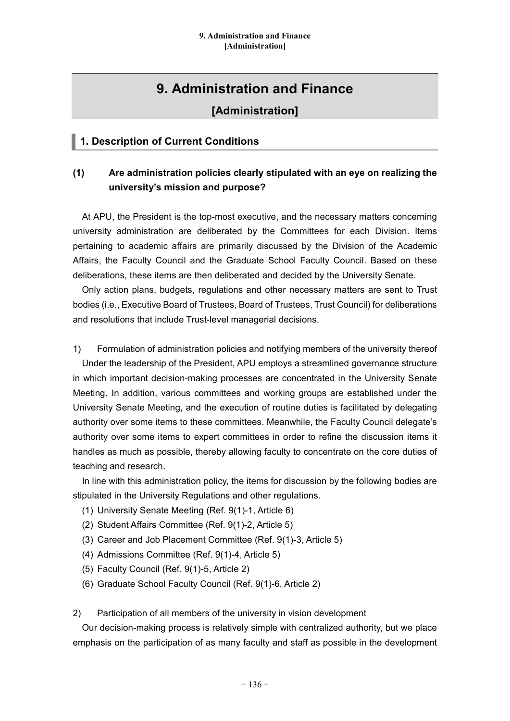# **9. Administration and Finance**

## **[Administration]**

## **1. Description of Current Conditions**

## **(1) Are administration policies clearly stipulated with an eye on realizing the university's mission and purpose?**

At APU, the President is the top-most executive, and the necessary matters concerning university administration are deliberated by the Committees for each Division. Items pertaining to academic affairs are primarily discussed by the Division of the Academic Affairs, the Faculty Council and the Graduate School Faculty Council. Based on these deliberations, these items are then deliberated and decided by the University Senate.

Only action plans, budgets, regulations and other necessary matters are sent to Trust bodies (i.e., Executive Board of Trustees, Board of Trustees, Trust Council) for deliberations and resolutions that include Trust-level managerial decisions.

1) Formulation of administration policies and notifying members of the university thereof Under the leadership of the President, APU employs a streamlined governance structure in which important decision-making processes are concentrated in the University Senate Meeting. In addition, various committees and working groups are established under the University Senate Meeting, and the execution of routine duties is facilitated by delegating authority over some items to these committees. Meanwhile, the Faculty Council delegate's authority over some items to expert committees in order to refine the discussion items it handles as much as possible, thereby allowing faculty to concentrate on the core duties of teaching and research.

In line with this administration policy, the items for discussion by the following bodies are stipulated in the University Regulations and other regulations.

- (1) University Senate Meeting (Ref. 9(1)-1, Article 6)
- (2) Student Affairs Committee (Ref. 9(1)-2, Article 5)
- (3) Career and Job Placement Committee (Ref. 9(1)-3, Article 5)
- (4) Admissions Committee (Ref. 9(1)-4, Article 5)
- (5) Faculty Council (Ref. 9(1)-5, Article 2)
- (6) Graduate School Faculty Council (Ref. 9(1)-6, Article 2)

2) Participation of all members of the university in vision development

Our decision-making process is relatively simple with centralized authority, but we place emphasis on the participation of as many faculty and staff as possible in the development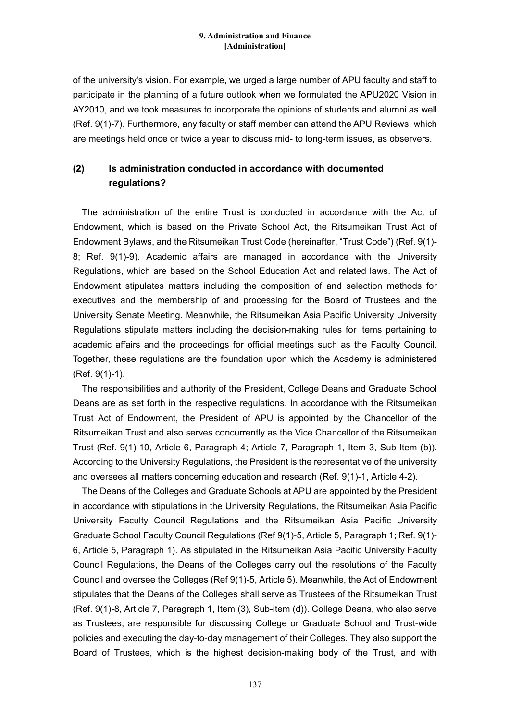of the university's vision. For example, we urged a large number of APU faculty and staff to participate in the planning of a future outlook when we formulated the APU2020 Vision in AY2010, and we took measures to incorporate the opinions of students and alumni as well (Ref. 9(1)-7). Furthermore, any faculty or staff member can attend the APU Reviews, which are meetings held once or twice a year to discuss mid- to long-term issues, as observers.

## **(2) Is administration conducted in accordance with documented regulations?**

The administration of the entire Trust is conducted in accordance with the Act of Endowment, which is based on the Private School Act, the Ritsumeikan Trust Act of Endowment Bylaws, and the Ritsumeikan Trust Code (hereinafter, "Trust Code") (Ref. 9(1)- 8; Ref. 9(1)-9). Academic affairs are managed in accordance with the University Regulations, which are based on the School Education Act and related laws. The Act of Endowment stipulates matters including the composition of and selection methods for executives and the membership of and processing for the Board of Trustees and the University Senate Meeting. Meanwhile, the Ritsumeikan Asia Pacific University University Regulations stipulate matters including the decision-making rules for items pertaining to academic affairs and the proceedings for official meetings such as the Faculty Council. Together, these regulations are the foundation upon which the Academy is administered (Ref. 9(1)-1).

The responsibilities and authority of the President, College Deans and Graduate School Deans are as set forth in the respective regulations. In accordance with the Ritsumeikan Trust Act of Endowment, the President of APU is appointed by the Chancellor of the Ritsumeikan Trust and also serves concurrently as the Vice Chancellor of the Ritsumeikan Trust (Ref. 9(1)-10, Article 6, Paragraph 4; Article 7, Paragraph 1, Item 3, Sub-Item (b)). According to the University Regulations, the President is the representative of the university and oversees all matters concerning education and research (Ref. 9(1)-1, Article 4-2).

The Deans of the Colleges and Graduate Schools at APU are appointed by the President in accordance with stipulations in the University Regulations, the Ritsumeikan Asia Pacific University Faculty Council Regulations and the Ritsumeikan Asia Pacific University Graduate School Faculty Council Regulations (Ref 9(1)-5, Article 5, Paragraph 1; Ref. 9(1)- 6, Article 5, Paragraph 1). As stipulated in the Ritsumeikan Asia Pacific University Faculty Council Regulations, the Deans of the Colleges carry out the resolutions of the Faculty Council and oversee the Colleges (Ref 9(1)-5, Article 5). Meanwhile, the Act of Endowment stipulates that the Deans of the Colleges shall serve as Trustees of the Ritsumeikan Trust (Ref. 9(1)-8, Article 7, Paragraph 1, Item (3), Sub-item (d)). College Deans, who also serve as Trustees, are responsible for discussing College or Graduate School and Trust-wide policies and executing the day-to-day management of their Colleges. They also support the Board of Trustees, which is the highest decision-making body of the Trust, and with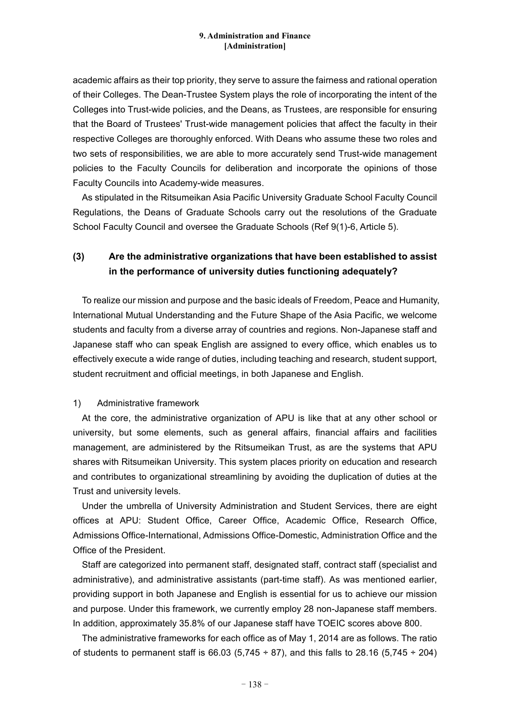academic affairs as their top priority, they serve to assure the fairness and rational operation of their Colleges. The Dean-Trustee System plays the role of incorporating the intent of the Colleges into Trust-wide policies, and the Deans, as Trustees, are responsible for ensuring that the Board of Trustees' Trust-wide management policies that affect the faculty in their respective Colleges are thoroughly enforced. With Deans who assume these two roles and two sets of responsibilities, we are able to more accurately send Trust-wide management policies to the Faculty Councils for deliberation and incorporate the opinions of those Faculty Councils into Academy-wide measures.

As stipulated in the Ritsumeikan Asia Pacific University Graduate School Faculty Council Regulations, the Deans of Graduate Schools carry out the resolutions of the Graduate School Faculty Council and oversee the Graduate Schools (Ref 9(1)-6, Article 5).

## **(3) Are the administrative organizations that have been established to assist in the performance of university duties functioning adequately?**

To realize our mission and purpose and the basic ideals of Freedom, Peace and Humanity, International Mutual Understanding and the Future Shape of the Asia Pacific, we welcome students and faculty from a diverse array of countries and regions. Non-Japanese staff and Japanese staff who can speak English are assigned to every office, which enables us to effectively execute a wide range of duties, including teaching and research, student support, student recruitment and official meetings, in both Japanese and English.

### 1) Administrative framework

At the core, the administrative organization of APU is like that at any other school or university, but some elements, such as general affairs, financial affairs and facilities management, are administered by the Ritsumeikan Trust, as are the systems that APU shares with Ritsumeikan University. This system places priority on education and research and contributes to organizational streamlining by avoiding the duplication of duties at the Trust and university levels.

Under the umbrella of University Administration and Student Services, there are eight offices at APU: Student Office, Career Office, Academic Office, Research Office, Admissions Office-International, Admissions Office-Domestic, Administration Office and the Office of the President.

Staff are categorized into permanent staff, designated staff, contract staff (specialist and administrative), and administrative assistants (part-time staff). As was mentioned earlier, providing support in both Japanese and English is essential for us to achieve our mission and purpose. Under this framework, we currently employ 28 non-Japanese staff members. In addition, approximately 35.8% of our Japanese staff have TOEIC scores above 800.

The administrative frameworks for each office as of May 1, 2014 are as follows. The ratio of students to permanent staff is 66.03 (5.745  $\div$  87), and this falls to 28.16 (5.745  $\div$  204)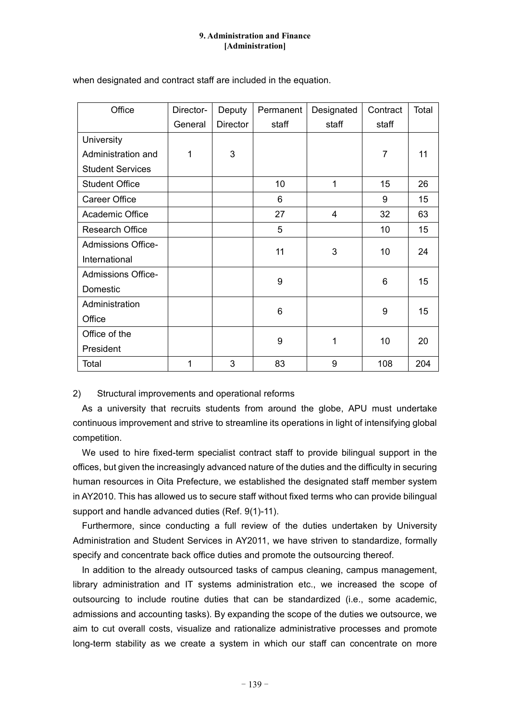| Office                    | Director- | Deputy          | Permanent | Designated | Contract       | Total |
|---------------------------|-----------|-----------------|-----------|------------|----------------|-------|
|                           | General   | <b>Director</b> | staff     | staff      | staff          |       |
| <b>University</b>         |           |                 |           |            |                |       |
| Administration and        | 1         | 3               |           |            | $\overline{7}$ | 11    |
| <b>Student Services</b>   |           |                 |           |            |                |       |
| <b>Student Office</b>     |           |                 | 10        | 1          | 15             | 26    |
| Career Office             |           |                 | 6         |            | 9              | 15    |
| Academic Office           |           |                 | 27        | 4          | 32             | 63    |
| <b>Research Office</b>    |           |                 | 5         |            | 10             | 15    |
| <b>Admissions Office-</b> |           |                 | 11        | 3          | 10             | 24    |
| International             |           |                 |           |            |                |       |
| <b>Admissions Office-</b> |           |                 | 9         |            | 6              | 15    |
| Domestic                  |           |                 |           |            |                |       |
| Administration            |           |                 | 6         |            | 9              | 15    |
| Office                    |           |                 |           |            |                |       |
| Office of the             |           |                 | 9         | 1          | 10             | 20    |
| President                 |           |                 |           |            |                |       |
| Total                     | 1         | 3               | 83        | 9          | 108            | 204   |

when designated and contract staff are included in the equation.

2) Structural improvements and operational reforms

As a university that recruits students from around the globe, APU must undertake continuous improvement and strive to streamline its operations in light of intensifying global competition.

We used to hire fixed-term specialist contract staff to provide bilingual support in the offices, but given the increasingly advanced nature of the duties and the difficulty in securing human resources in Oita Prefecture, we established the designated staff member system in AY2010. This has allowed us to secure staff without fixed terms who can provide bilingual support and handle advanced duties (Ref. 9(1)-11).

Furthermore, since conducting a full review of the duties undertaken by University Administration and Student Services in AY2011, we have striven to standardize, formally specify and concentrate back office duties and promote the outsourcing thereof.

In addition to the already outsourced tasks of campus cleaning, campus management, library administration and IT systems administration etc., we increased the scope of outsourcing to include routine duties that can be standardized (i.e., some academic, admissions and accounting tasks). By expanding the scope of the duties we outsource, we aim to cut overall costs, visualize and rationalize administrative processes and promote long-term stability as we create a system in which our staff can concentrate on more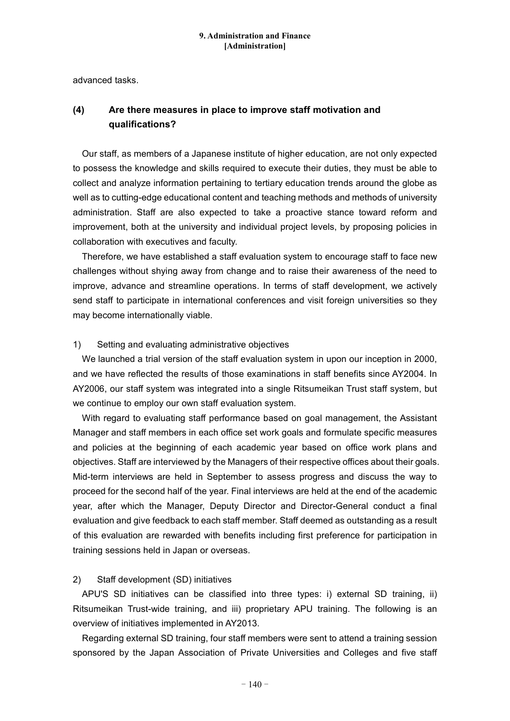advanced tasks.

### **(4) Are there measures in place to improve staff motivation and qualifications?**

Our staff, as members of a Japanese institute of higher education, are not only expected to possess the knowledge and skills required to execute their duties, they must be able to collect and analyze information pertaining to tertiary education trends around the globe as well as to cutting-edge educational content and teaching methods and methods of university administration. Staff are also expected to take a proactive stance toward reform and improvement, both at the university and individual project levels, by proposing policies in collaboration with executives and faculty.

Therefore, we have established a staff evaluation system to encourage staff to face new challenges without shying away from change and to raise their awareness of the need to improve, advance and streamline operations. In terms of staff development, we actively send staff to participate in international conferences and visit foreign universities so they may become internationally viable.

### 1) Setting and evaluating administrative objectives

We launched a trial version of the staff evaluation system in upon our inception in 2000, and we have reflected the results of those examinations in staff benefits since AY2004. In AY2006, our staff system was integrated into a single Ritsumeikan Trust staff system, but we continue to employ our own staff evaluation system.

With regard to evaluating staff performance based on goal management, the Assistant Manager and staff members in each office set work goals and formulate specific measures and policies at the beginning of each academic year based on office work plans and objectives. Staff are interviewed by the Managers of their respective offices about their goals. Mid-term interviews are held in September to assess progress and discuss the way to proceed for the second half of the year. Final interviews are held at the end of the academic year, after which the Manager, Deputy Director and Director-General conduct a final evaluation and give feedback to each staff member. Staff deemed as outstanding as a result of this evaluation are rewarded with benefits including first preference for participation in training sessions held in Japan or overseas.

### 2) Staff development (SD) initiatives

APU'S SD initiatives can be classified into three types: i) external SD training, ii) Ritsumeikan Trust-wide training, and iii) proprietary APU training. The following is an overview of initiatives implemented in AY2013.

Regarding external SD training, four staff members were sent to attend a training session sponsored by the Japan Association of Private Universities and Colleges and five staff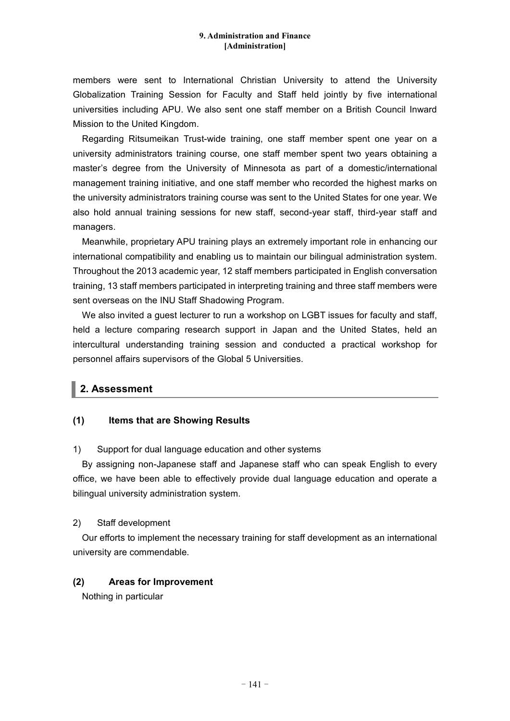members were sent to International Christian University to attend the University Globalization Training Session for Faculty and Staff held jointly by five international universities including APU. We also sent one staff member on a British Council Inward Mission to the United Kingdom.

Regarding Ritsumeikan Trust-wide training, one staff member spent one year on a university administrators training course, one staff member spent two years obtaining a master's degree from the University of Minnesota as part of a domestic/international management training initiative, and one staff member who recorded the highest marks on the university administrators training course was sent to the United States for one year. We also hold annual training sessions for new staff, second-year staff, third-year staff and managers.

Meanwhile, proprietary APU training plays an extremely important role in enhancing our international compatibility and enabling us to maintain our bilingual administration system. Throughout the 2013 academic year, 12 staff members participated in English conversation training, 13 staff members participated in interpreting training and three staff members were sent overseas on the INU Staff Shadowing Program.

We also invited a quest lecturer to run a workshop on LGBT issues for faculty and staff, held a lecture comparing research support in Japan and the United States, held an intercultural understanding training session and conducted a practical workshop for personnel affairs supervisors of the Global 5 Universities.

## **2. Assessment**

### **(1) Items that are Showing Results**

### 1) Support for dual language education and other systems

By assigning non-Japanese staff and Japanese staff who can speak English to every office, we have been able to effectively provide dual language education and operate a bilingual university administration system.

### 2) Staff development

Our efforts to implement the necessary training for staff development as an international university are commendable.

### **(2) Areas for Improvement**

Nothing in particular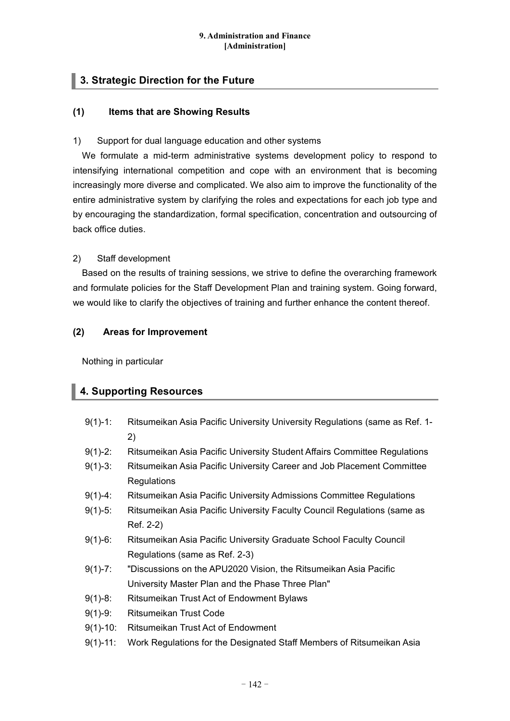## **3. Strategic Direction for the Future**

### **(1) Items that are Showing Results**

### 1) Support for dual language education and other systems

We formulate a mid-term administrative systems development policy to respond to intensifying international competition and cope with an environment that is becoming increasingly more diverse and complicated. We also aim to improve the functionality of the entire administrative system by clarifying the roles and expectations for each job type and by encouraging the standardization, formal specification, concentration and outsourcing of back office duties.

### 2) Staff development

Based on the results of training sessions, we strive to define the overarching framework and formulate policies for the Staff Development Plan and training system. Going forward, we would like to clarify the objectives of training and further enhance the content thereof.

### **(2) Areas for Improvement**

Nothing in particular

## **4. Supporting Resources**

- 9(1)-1: Ritsumeikan Asia Pacific University University Regulations (same as Ref. 1- 2)
- 9(1)-2: Ritsumeikan Asia Pacific University Student Affairs Committee Regulations
- 9(1)-3: Ritsumeikan Asia Pacific University Career and Job Placement Committee **Regulations**
- 9(1)-4: Ritsumeikan Asia Pacific University Admissions Committee Regulations
- 9(1)-5: Ritsumeikan Asia Pacific University Faculty Council Regulations (same as Ref. 2-2)
- 9(1)-6: Ritsumeikan Asia Pacific University Graduate School Faculty Council Regulations (same as Ref. 2-3)
- 9(1)-7: "Discussions on the APU2020 Vision, the Ritsumeikan Asia Pacific University Master Plan and the Phase Three Plan"
- 9(1)-8: Ritsumeikan Trust Act of Endowment Bylaws
- 9(1)-9: Ritsumeikan Trust Code
- 9(1)-10: Ritsumeikan Trust Act of Endowment
- 9(1)-11: Work Regulations for the Designated Staff Members of Ritsumeikan Asia